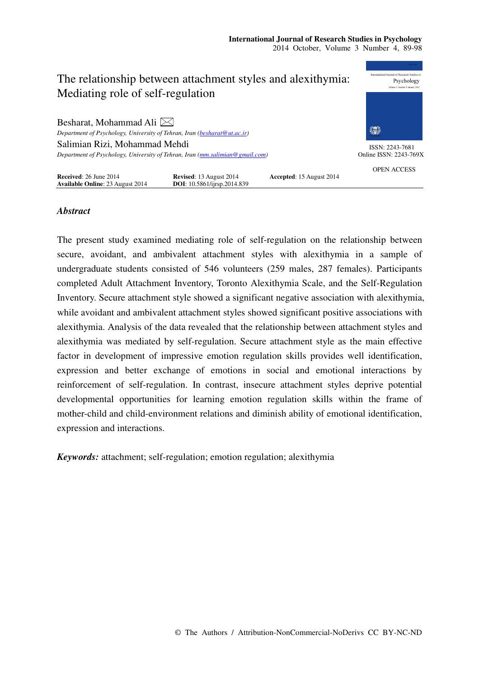

# *Abstract*

The present study examined mediating role of self-regulation on the relationship between secure, avoidant, and ambivalent attachment styles with alexithymia in a sample of undergraduate students consisted of 546 volunteers (259 males, 287 females). Participants completed Adult Attachment Inventory, Toronto Alexithymia Scale, and the Self-Regulation Inventory. Secure attachment style showed a significant negative association with alexithymia, while avoidant and ambivalent attachment styles showed significant positive associations with alexithymia. Analysis of the data revealed that the relationship between attachment styles and alexithymia was mediated by self-regulation. Secure attachment style as the main effective factor in development of impressive emotion regulation skills provides well identification, expression and better exchange of emotions in social and emotional interactions by reinforcement of self-regulation. In contrast, insecure attachment styles deprive potential developmental opportunities for learning emotion regulation skills within the frame of mother-child and child-environment relations and diminish ability of emotional identification, expression and interactions.

*Keywords:* attachment; self-regulation; emotion regulation; alexithymia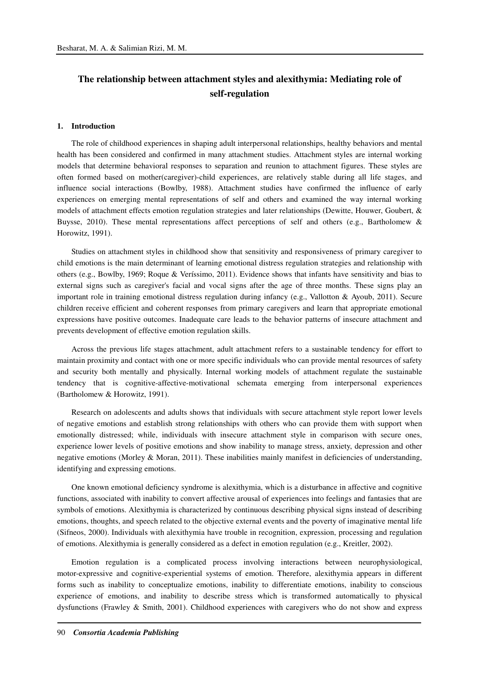# **The relationship between attachment styles and alexithymia: Mediating role of self-regulation**

#### **1. Introduction**

The role of childhood experiences in shaping adult interpersonal relationships, healthy behaviors and mental health has been considered and confirmed in many attachment studies. Attachment styles are internal working models that determine behavioral responses to separation and reunion to attachment figures. These styles are often formed based on mother(caregiver)-child experiences, are relatively stable during all life stages, and influence social interactions (Bowlby, 1988). Attachment studies have confirmed the influence of early experiences on emerging mental representations of self and others and examined the way internal working models of attachment effects emotion regulation strategies and later relationships (Dewitte, Houwer, Goubert, & Buysse, 2010). These mental representations affect perceptions of self and others (e.g., Bartholomew & Horowitz, 1991).

Studies on attachment styles in childhood show that sensitivity and responsiveness of primary caregiver to child emotions is the main determinant of learning emotional distress regulation strategies and relationship with others (e.g., Bowlby, 1969; Roque & Veríssimo, 2011). Evidence shows that infants have sensitivity and bias to external signs such as caregiver's facial and vocal signs after the age of three months. These signs play an important role in training emotional distress regulation during infancy (e.g., Vallotton & Ayoub, 2011). Secure children receive efficient and coherent responses from primary caregivers and learn that appropriate emotional expressions have positive outcomes. Inadequate care leads to the behavior patterns of insecure attachment and prevents development of effective emotion regulation skills.

Across the previous life stages attachment, adult attachment refers to a sustainable tendency for effort to maintain proximity and contact with one or more specific individuals who can provide mental resources of safety and security both mentally and physically. Internal working models of attachment regulate the sustainable tendency that is cognitive-affective-motivational schemata emerging from interpersonal experiences (Bartholomew & Horowitz, 1991).

Research on adolescents and adults shows that individuals with secure attachment style report lower levels of negative emotions and establish strong relationships with others who can provide them with support when emotionally distressed; while, individuals with insecure attachment style in comparison with secure ones, experience lower levels of positive emotions and show inability to manage stress, anxiety, depression and other negative emotions (Morley & Moran, 2011). These inabilities mainly manifest in deficiencies of understanding, identifying and expressing emotions.

One known emotional deficiency syndrome is alexithymia, which is a disturbance in affective and cognitive functions, associated with inability to convert affective arousal of experiences into feelings and fantasies that are symbols of emotions. Alexithymia is characterized by continuous describing physical signs instead of describing emotions, thoughts, and speech related to the objective external events and the poverty of imaginative mental life (Sifneos, 2000). Individuals with alexithymia have trouble in recognition, expression, processing and regulation of emotions. Alexithymia is generally considered as a defect in emotion regulation (e.g., Kreitler, 2002).

Emotion regulation is a complicated process involving interactions between neurophysiological, motor-expressive and cognitive-experiential systems of emotion. Therefore, alexithymia appears in different forms such as inability to conceptualize emotions, inability to differentiate emotions, inability to conscious experience of emotions, and inability to describe stress which is transformed automatically to physical dysfunctions (Frawley & Smith, 2001). Childhood experiences with caregivers who do not show and express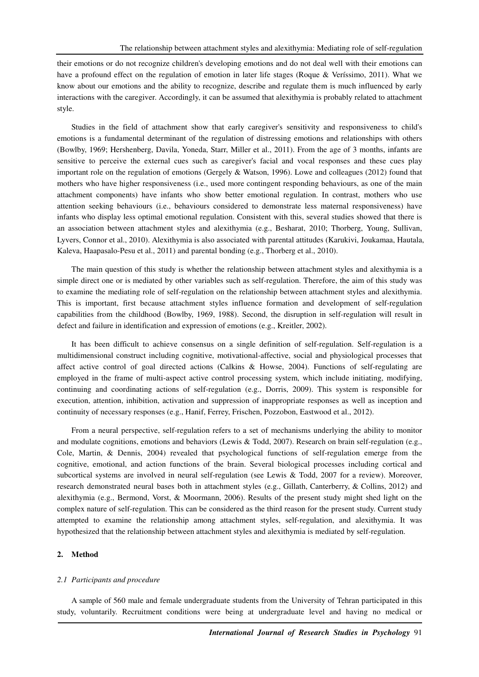their emotions or do not recognize children's developing emotions and do not deal well with their emotions can have a profound effect on the regulation of emotion in later life stages (Roque & Veríssimo, 2011). What we know about our emotions and the ability to recognize, describe and regulate them is much influenced by early interactions with the caregiver. Accordingly, it can be assumed that alexithymia is probably related to attachment style.

Studies in the field of attachment show that early caregiver's sensitivity and responsiveness to child's emotions is a fundamental determinant of the regulation of distressing emotions and relationships with others (Bowlby, 1969; Hershenberg, Davila, Yoneda, Starr, Miller et al., 2011). From the age of 3 months, infants are sensitive to perceive the external cues such as caregiver's facial and vocal responses and these cues play important role on the regulation of emotions (Gergely & Watson, 1996). Lowe and colleagues (2012) found that mothers who have higher responsiveness (i.e., used more contingent responding behaviours, as one of the main attachment components) have infants who show better emotional regulation. In contrast, mothers who use attention seeking behaviours (i.e., behaviours considered to demonstrate less maternal responsiveness) have infants who display less optimal emotional regulation. Consistent with this, several studies showed that there is an association between attachment styles and alexithymia (e.g., Besharat, 2010; Thorberg, Young, Sullivan, Lyvers, Connor et al., 2010). Alexithymia is also associated with parental attitudes (Karukivi, Joukamaa, Hautala, Kaleva, Haapasalo-Pesu et al., 2011) and parental bonding (e.g., Thorberg et al., 2010).

The main question of this study is whether the relationship between attachment styles and alexithymia is a simple direct one or is mediated by other variables such as self-regulation. Therefore, the aim of this study was to examine the mediating role of self-regulation on the relationship between attachment styles and alexithymia. This is important, first because attachment styles influence formation and development of self-regulation capabilities from the childhood (Bowlby, 1969, 1988). Second, the disruption in self-regulation will result in defect and failure in identification and expression of emotions (e.g., Kreitler, 2002).

It has been difficult to achieve consensus on a single definition of self-regulation. Self-regulation is a multidimensional construct including cognitive, motivational-affective, social and physiological processes that affect active control of goal directed actions (Calkins & Howse, 2004). Functions of self-regulating are employed in the frame of multi-aspect active control processing system, which include initiating, modifying, continuing and coordinating actions of self-regulation (e.g., Dorris, 2009). This system is responsible for execution, attention, inhibition, activation and suppression of inappropriate responses as well as inception and continuity of necessary responses (e.g., Hanif, Ferrey, Frischen, Pozzobon, Eastwood et al., 2012).

From a neural perspective, self-regulation refers to a set of mechanisms underlying the ability to monitor and modulate cognitions, emotions and behaviors (Lewis & Todd, 2007). Research on brain self-regulation (e.g., Cole, Martin, & Dennis, 2004) revealed that psychological functions of self-regulation emerge from the cognitive, emotional, and action functions of the brain. Several biological processes including cortical and subcortical systems are involved in neural self-regulation (see Lewis & Todd, 2007 for a review). Moreover, research demonstrated neural bases both in attachment styles (e.g., Gillath, Canterberry, & Collins, 2012) and alexithymia (e.g., Bermond, Vorst, & Moormann, 2006). Results of the present study might shed light on the complex nature of self-regulation. This can be considered as the third reason for the present study. Current study attempted to examine the relationship among attachment styles, self-regulation, and alexithymia. It was hypothesized that the relationship between attachment styles and alexithymia is mediated by self-regulation.

#### **2. Method**

#### *2.1 Participants and procedure*

A sample of 560 male and female undergraduate students from the University of Tehran participated in this study, voluntarily. Recruitment conditions were being at undergraduate level and having no medical or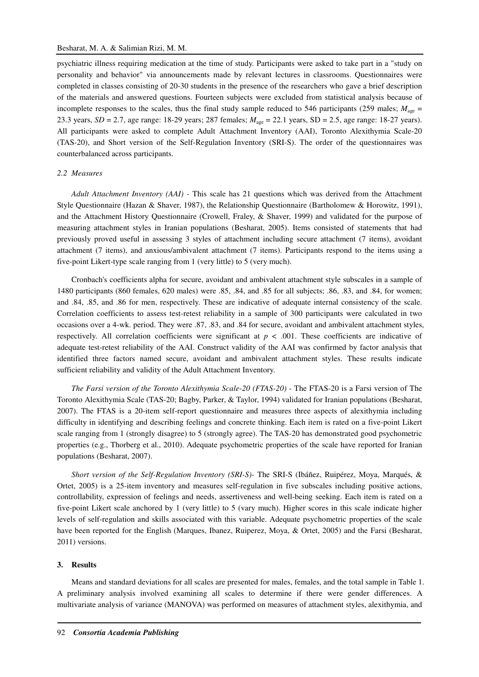psychiatric illness requiring medication at the time of study. Participants were asked to take part in a "study on personality and behavior" via announcements made by relevant lectures in classrooms. Questionnaires were completed in classes consisting of 20-30 students in the presence of the researchers who gave a brief description of the materials and answered questions. Fourteen subjects were excluded from statistical analysis because of incomplete responses to the scales, thus the final study sample reduced to 546 participants (259 males;  $M_{\text{age}} =$ 23.3 years, *SD* = 2.7, age range: 18-29 years; 287 females;  $M_{\text{age}} = 22.1$  years, *SD* = 2.5, age range: 18-27 years). All participants were asked to complete Adult Attachment Inventory (AAI), Toronto Alexithymia Scale-20 (TAS-20), and Short version of the Self-Regulation Inventory (SRI-S). The order of the questionnaires was counterbalanced across participants.

#### *2.2 Measures*

*Adult Attachment Inventory (AAI) -* This scale has 21 questions which was derived from the Attachment Style Questionnaire (Hazan & Shaver, 1987), the Relationship Questionnaire (Bartholomew & Horowitz, 1991), and the Attachment History Questionnaire (Crowell, Fraley, & Shaver, 1999) and validated for the purpose of measuring attachment styles in Iranian populations (Besharat, 2005). Items consisted of statements that had previously proved useful in assessing 3 styles of attachment including secure attachment (7 items), avoidant attachment (7 items), and anxious/ambivalent attachment (7 items). Participants respond to the items using a five-point Likert-type scale ranging from 1 (very little) to 5 (very much).

Cronbach's coefficients alpha for secure, avoidant and ambivalent attachment style subscales in a sample of 1480 participants (860 females, 620 males) were .85, .84, and .85 for all subjects; .86, .83, and .84, for women; and .84, .85, and .86 for men, respectively. These are indicative of adequate internal consistency of the scale. Correlation coefficients to assess test-retest reliability in a sample of 300 participants were calculated in two occasions over a 4-wk. period. They were .87, .83, and .84 for secure, avoidant and ambivalent attachment styles, respectively. All correlation coefficients were significant at  $p < .001$ . These coefficients are indicative of adequate test-retest reliability of the AAI. Construct validity of the AAI was confirmed by factor analysis that identified three factors named secure, avoidant and ambivalent attachment styles. These results indicate sufficient reliability and validity of the Adult Attachment Inventory.

*The Farsi version of the Toronto Alexithymia Scale-20 (FTAS-20)* - The FTAS-20 is a Farsi version of The Toronto Alexithymia Scale (TAS-20; Bagby, Parker, & Taylor, 1994) validated for Iranian populations (Besharat, 2007). The FTAS is a 20-item self-report questionnaire and measures three aspects of alexithymia including difficulty in identifying and describing feelings and concrete thinking. Each item is rated on a five-point Likert scale ranging from 1 (strongly disagree) to 5 (strongly agree). The TAS-20 has demonstrated good psychometric properties (e.g., Thorberg et al., 2010). Adequate psychometric properties of the scale have reported for Iranian populations (Besharat, 2007).

*Short version of the Self-Regulation Inventory (SRI-S)-* The SRI-S (Ibáñez, Ruipérez, Moya, Marqués, & Ortet, 2005) is a 25-item inventory and measures self-regulation in five subscales including positive actions, controllability, expression of feelings and needs, assertiveness and well-being seeking. Each item is rated on a five-point Likert scale anchored by 1 (very little) to 5 (vary much). Higher scores in this scale indicate higher levels of self-regulation and skills associated with this variable. Adequate psychometric properties of the scale have been reported for the English (Marques, Ibanez, Ruiperez, Moya, & Ortet, 2005) and the Farsi (Besharat, 2011) versions.

#### **3. Results**

Means and standard deviations for all scales are presented for males, females, and the total sample in Table 1. A preliminary analysis involved examining all scales to determine if there were gender differences. A multivariate analysis of variance (MANOVA) was performed on measures of attachment styles, alexithymia, and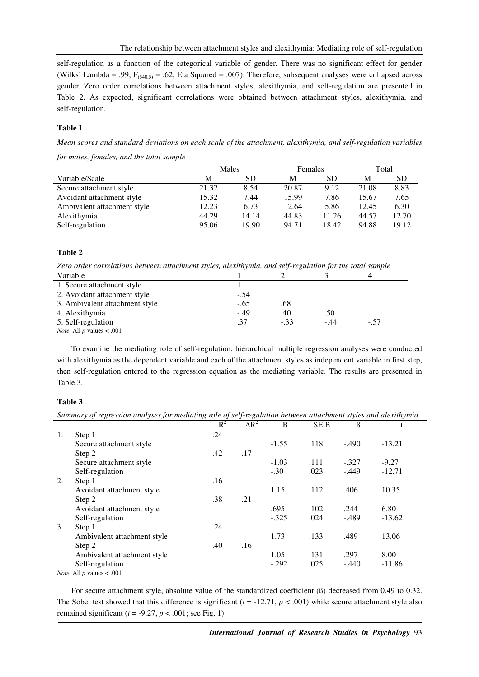self-regulation as a function of the categorical variable of gender. There was no significant effect for gender (Wilks' Lambda = .99,  $F_{(540,5)} = .62$ , Eta Squared = .007). Therefore, subsequent analyses were collapsed across gender. Zero order correlations between attachment styles, alexithymia, and self-regulation are presented in Table 2. As expected, significant correlations were obtained between attachment styles, alexithymia, and self-regulation.

### **Table 1**

*Mean scores and standard deviations on each scale of the attachment, alexithymia, and self-regulation variables for males, females, and the total sample* 

|                             | Males |       | <b>Females</b> |       | Total |       |
|-----------------------------|-------|-------|----------------|-------|-------|-------|
| Variable/Scale              | M     | SD    | М              | SD    | M     | SD    |
| Secure attachment style     | 21.32 | 8.54  | 20.87          | 9.12  | 21.08 | 8.83  |
| Avoidant attachment style   | 15.32 | 7.44  | 15.99          | 7.86  | 15.67 | 7.65  |
| Ambivalent attachment style | 12.23 | 6.73  | 12.64          | 5.86  | 12.45 | 6.30  |
| Alexithymia                 | 44.29 | 14.14 | 44.83          | 11.26 | 44.57 | 12.70 |
| Self-regulation             | 95.06 | 19.90 | 94.71          | 18.42 | 94.88 | 19.12 |

#### **Table 2**

*Zero order correlations between attachment styles, alexithymia, and self-regulation for the total sample* 

| Variable                             |        |        |       |        |  |
|--------------------------------------|--------|--------|-------|--------|--|
| 1. Secure attachment style           |        |        |       |        |  |
| 2. Avoidant attachment style         | $-.54$ |        |       |        |  |
| 3. Ambivalent attachment style       | $-.65$ | .68    |       |        |  |
| 4. Alexithymia                       | $-.49$ | .40    | .50   |        |  |
| 5. Self-regulation                   | .37    | $-.33$ | $-44$ | $-.57$ |  |
| <i>Note.</i> All $p$ values $< .001$ |        |        |       |        |  |

To examine the mediating role of self-regulation, hierarchical multiple regression analyses were conducted with alexithymia as the dependent variable and each of the attachment styles as independent variable in first step, then self-regulation entered to the regression equation as the mediating variable. The results are presented in Table 3.

## **Table 3**

*Summary of regression analyses for mediating role of self-regulation between attachment styles and alexithymia* 

|    |                             | $R^2$ | $\Delta R^2$ | B       | <b>SEB</b> | ß       |          |
|----|-----------------------------|-------|--------------|---------|------------|---------|----------|
| 1. | Step 1                      | .24   |              |         |            |         |          |
|    | Secure attachment style     |       |              | $-1.55$ | .118       | $-.490$ | $-13.21$ |
|    | Step 2                      | .42   | .17          |         |            |         |          |
|    | Secure attachment style     |       |              | $-1.03$ | .111       | $-.327$ | $-9.27$  |
|    | Self-regulation             |       |              | $-.30$  | .023       | $-.449$ | $-12.71$ |
| 2. | Step 1                      | .16   |              |         |            |         |          |
|    | Avoidant attachment style   |       |              | 1.15    | .112       | .406    | 10.35    |
|    | Step 2                      | .38   | .21          |         |            |         |          |
|    | Avoidant attachment style   |       |              | .695    | .102       | .244    | 6.80     |
|    | Self-regulation             |       |              | $-.325$ | .024       | $-.489$ | $-13.62$ |
| 3. | Step 1                      | .24   |              |         |            |         |          |
|    | Ambivalent attachment style |       |              | 1.73    | .133       | .489    | 13.06    |
|    | Step 2                      | .40   | .16          |         |            |         |          |
|    | Ambivalent attachment style |       |              | 1.05    | .131       | .297    | 8.00     |
|    | Self-regulation             |       |              | $-.292$ | .025       | $-.440$ | $-11.86$ |

*Note.* All *p* values < .001

For secure attachment style, absolute value of the standardized coefficient (ß) decreased from 0.49 to 0.32. The Sobel test showed that this difference is significant  $(t = -12.71, p < .001)$  while secure attachment style also remained significant  $(t = -9.27, p < .001$ ; see Fig. 1).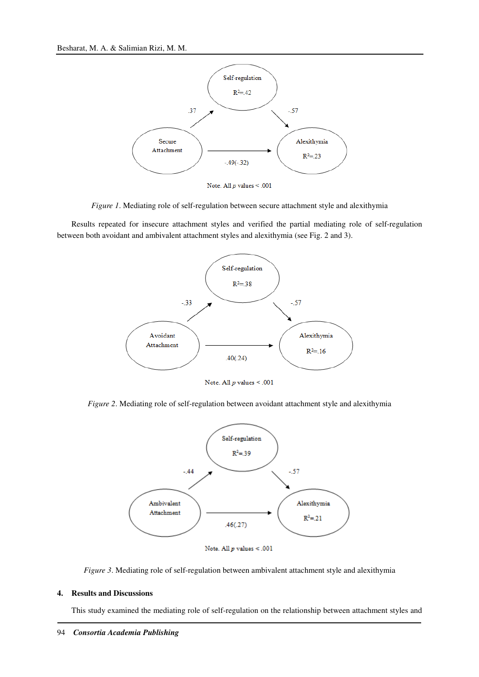

*Figure 1*. Mediating role of self-regulation between secure attachment style and alexithymia

Results repeated for insecure attachment styles and verified the partial mediating role of self-regulation between both avoidant and ambivalent attachment styles and alexithymia (see Fig. 2 and 3).



Note. All  $p$  values  $\leq .001$ 

*Figure 2*. Mediating role of self-regulation between avoidant attachment style and alexithymia



Note. All  $p$  values < .001

*Figure 3*. Mediating role of self-regulation between ambivalent attachment style and alexithymia

#### **4. Results and Discussions**

This study examined the mediating role of self-regulation on the relationship between attachment styles and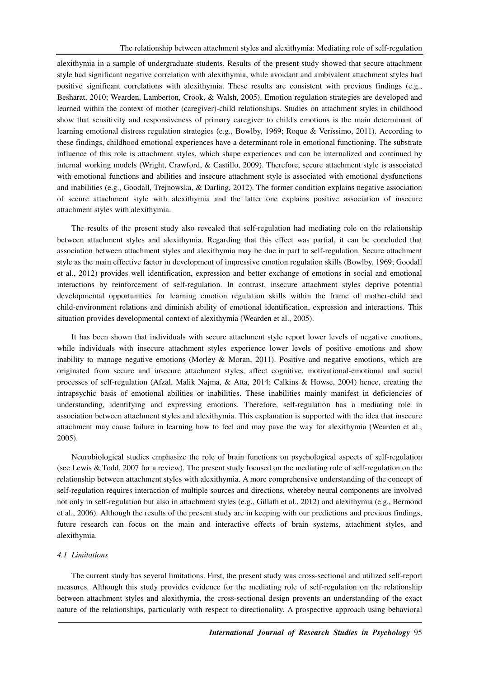alexithymia in a sample of undergraduate students. Results of the present study showed that secure attachment style had significant negative correlation with alexithymia, while avoidant and ambivalent attachment styles had positive significant correlations with alexithymia. These results are consistent with previous findings (e.g., Besharat, 2010; Wearden, Lamberton, Crook, & Walsh, 2005). Emotion regulation strategies are developed and learned within the context of mother (caregiver)-child relationships. Studies on attachment styles in childhood show that sensitivity and responsiveness of primary caregiver to child's emotions is the main determinant of learning emotional distress regulation strategies (e.g., Bowlby, 1969; Roque & Veríssimo, 2011). According to these findings, childhood emotional experiences have a determinant role in emotional functioning. The substrate influence of this role is attachment styles, which shape experiences and can be internalized and continued by internal working models (Wright, Crawford, & Castillo, 2009). Therefore, secure attachment style is associated with emotional functions and abilities and insecure attachment style is associated with emotional dysfunctions and inabilities (e.g., Goodall, Trejnowska, & Darling, 2012). The former condition explains negative association of secure attachment style with alexithymia and the latter one explains positive association of insecure attachment styles with alexithymia.

The results of the present study also revealed that self-regulation had mediating role on the relationship between attachment styles and alexithymia. Regarding that this effect was partial, it can be concluded that association between attachment styles and alexithymia may be due in part to self-regulation. Secure attachment style as the main effective factor in development of impressive emotion regulation skills (Bowlby, 1969; Goodall et al., 2012) provides well identification, expression and better exchange of emotions in social and emotional interactions by reinforcement of self-regulation. In contrast, insecure attachment styles deprive potential developmental opportunities for learning emotion regulation skills within the frame of mother-child and child-environment relations and diminish ability of emotional identification, expression and interactions. This situation provides developmental context of alexithymia (Wearden et al., 2005).

It has been shown that individuals with secure attachment style report lower levels of negative emotions, while individuals with insecure attachment styles experience lower levels of positive emotions and show inability to manage negative emotions (Morley & Moran, 2011). Positive and negative emotions, which are originated from secure and insecure attachment styles, affect cognitive, motivational-emotional and social processes of self-regulation (Afzal, Malik Najma, & Atta, 2014; Calkins & Howse, 2004) hence, creating the intrapsychic basis of emotional abilities or inabilities. These inabilities mainly manifest in deficiencies of understanding, identifying and expressing emotions. Therefore, self-regulation has a mediating role in association between attachment styles and alexithymia. This explanation is supported with the idea that insecure attachment may cause failure in learning how to feel and may pave the way for alexithymia (Wearden et al., 2005).

Neurobiological studies emphasize the role of brain functions on psychological aspects of self-regulation (see Lewis & Todd, 2007 for a review). The present study focused on the mediating role of self-regulation on the relationship between attachment styles with alexithymia. A more comprehensive understanding of the concept of self-regulation requires interaction of multiple sources and directions, whereby neural components are involved not only in self-regulation but also in attachment styles (e.g., Gillath et al., 2012) and alexithymia (e.g., Bermond et al., 2006). Although the results of the present study are in keeping with our predictions and previous findings, future research can focus on the main and interactive effects of brain systems, attachment styles, and alexithymia.

#### *4.1 Limitations*

The current study has several limitations. First, the present study was cross-sectional and utilized self-report measures. Although this study provides evidence for the mediating role of self-regulation on the relationship between attachment styles and alexithymia, the cross-sectional design prevents an understanding of the exact nature of the relationships, particularly with respect to directionality. A prospective approach using behavioral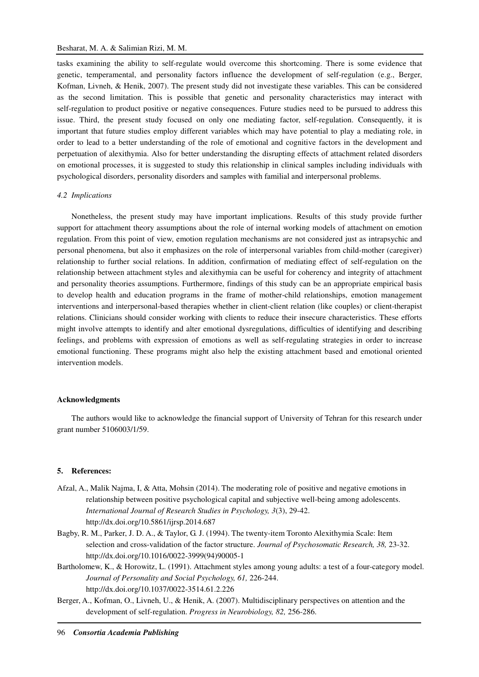tasks examining the ability to self-regulate would overcome this shortcoming. There is some evidence that genetic, temperamental, and personality factors influence the development of self-regulation (e.g., Berger, Kofman, Livneh, & Henik, 2007). The present study did not investigate these variables. This can be considered as the second limitation. This is possible that genetic and personality characteristics may interact with self-regulation to product positive or negative consequences. Future studies need to be pursued to address this issue. Third, the present study focused on only one mediating factor, self-regulation. Consequently, it is important that future studies employ different variables which may have potential to play a mediating role, in order to lead to a better understanding of the role of emotional and cognitive factors in the development and perpetuation of alexithymia. Also for better understanding the disrupting effects of attachment related disorders on emotional processes, it is suggested to study this relationship in clinical samples including individuals with psychological disorders, personality disorders and samples with familial and interpersonal problems.

#### *4.2 Implications*

Nonetheless, the present study may have important implications. Results of this study provide further support for attachment theory assumptions about the role of internal working models of attachment on emotion regulation. From this point of view, emotion regulation mechanisms are not considered just as intrapsychic and personal phenomena, but also it emphasizes on the role of interpersonal variables from child-mother (caregiver) relationship to further social relations. In addition, confirmation of mediating effect of self-regulation on the relationship between attachment styles and alexithymia can be useful for coherency and integrity of attachment and personality theories assumptions. Furthermore, findings of this study can be an appropriate empirical basis to develop health and education programs in the frame of mother-child relationships, emotion management interventions and interpersonal-based therapies whether in client-client relation (like couples) or client-therapist relations. Clinicians should consider working with clients to reduce their insecure characteristics. These efforts might involve attempts to identify and alter emotional dysregulations, difficulties of identifying and describing feelings, and problems with expression of emotions as well as self-regulating strategies in order to increase emotional functioning. These programs might also help the existing attachment based and emotional oriented intervention models.

# **Acknowledgments**

The authors would like to acknowledge the financial support of University of Tehran for this research under grant number 5106003/1/59.

#### **5. References:**

- Afzal, A., Malik Najma, I, & Atta, Mohsin (2014). The moderating role of positive and negative emotions in relationship between positive psychological capital and subjective well-being among adolescents. *International Journal of Research Studies in Psychology, 3*(3), 29-42. http://dx.doi.org/10.5861/ijrsp.2014.687
- Bagby, R. M., Parker, J. D. A., & Taylor, G. J. (1994). The twenty-item Toronto Alexithymia Scale: Item selection and cross-validation of the factor structure. *Journal of Psychosomatic Research, 38,* 23-32. http://dx.doi.org/10.1016/0022-3999(94)90005-1
- Bartholomew, K., & Horowitz, L. (1991). Attachment styles among young adults: a test of a four-category model. *Journal of Personality and Social Psychology, 61,* 226-244. http://dx.doi.org/10.1037/0022-3514.61.2.226
- Berger, A., Kofman, O., Livneh, U., & Henik, A. (2007). Multidisciplinary perspectives on attention and the development of self-regulation. *Progress in Neurobiology, 82,* 256-286.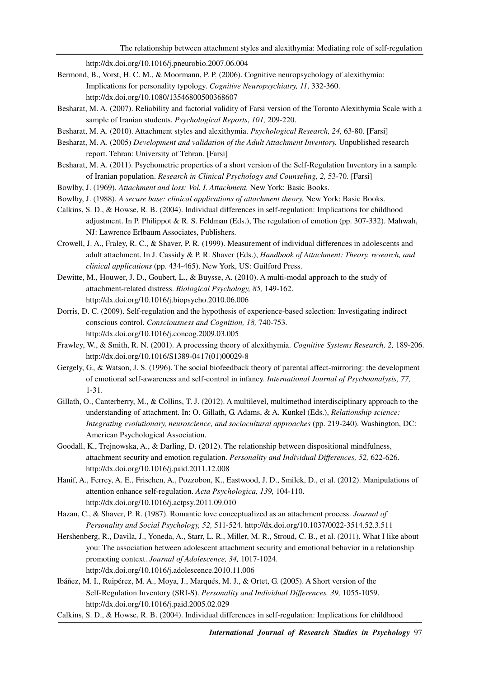http://dx.doi.org/10.1016/j.pneurobio.2007.06.004

- Bermond, B., Vorst, H. C. M., & Moormann, P. P. (2006). Cognitive neuropsychology of alexithymia: Implications for personality typology. *Cognitive Neuropsychiatry, 11*, 332-360. http://dx.doi.org/10.1080/13546800500368607
- Besharat, M. A. (2007). Reliability and factorial validity of Farsi version of the Toronto Alexithymia Scale with a sample of Iranian students. *Psychological Reports*, *101,* 209-220.
- Besharat, M. A. (2010). Attachment styles and alexithymia. *Psychological Research, 24,* 63-80. [Farsi]
- Besharat, M. A. (2005) *Development and validation of the Adult Attachment Inventory.* Unpublished research report. Tehran: University of Tehran. [Farsi]
- Besharat, M. A. (2011). Psychometric properties of a short version of the Self-Regulation Inventory in a sample of Iranian population. *Research in Clinical Psychology and Counseling, 2,* 53-70. [Farsi]
- Bowlby, J. (1969). *Attachment and loss: Vol. I. Attachment.* New York: Basic Books.
- Bowlby, J. (1988). *A secure base: clinical applications of attachment theory.* New York: Basic Books.
- Calkins, S. D., & Howse, R. B. (2004). Individual differences in self-regulation: Implications for childhood adjustment. In P. Philippot  $\& R. S.$  Feldman (Eds.), The regulation of emotion (pp. 307-332). Mahwah, NJ: Lawrence Erlbaum Associates, Publishers.
- Crowell, J. A., Fraley, R. C., & Shaver, P. R. (1999). Measurement of individual differences in adolescents and adult attachment. In J. Cassidy & P. R. Shaver (Eds.), *Handbook of Attachment: Theory, research, and clinical applications* (pp. 434-465). New York, US: Guilford Press.
- Dewitte, M., Houwer, J. D., Goubert, L., & Buysse, A. (2010). A multi-modal approach to the study of attachment-related distress. *Biological Psychology, 85,* 149-162. http://dx.doi.org/10.1016/j.biopsycho.2010.06.006
- Dorris, D. C. (2009). Self-regulation and the hypothesis of experience-based selection: Investigating indirect conscious control. *Consciousness and Cognition, 18,* 740-753. http://dx.doi.org/10.1016/j.concog.2009.03.005
- Frawley, W., & Smith, R. N. (2001). A processing theory of alexithymia. *Cognitive Systems Research, 2,* 189-206. http://dx.doi.org/10.1016/S1389-0417(01)00029-8
- Gergely, G., & Watson, J. S. (1996). The social biofeedback theory of parental affect-mirroring: the development of emotional self-awareness and self-control in infancy. *International Journal of Psychoanalysis, 77,* 1-31.
- Gillath, O., Canterberry, M., & Collins, T. J. (2012). A multilevel, multimethod interdisciplinary approach to the understanding of attachment. In: O. Gillath, G. Adams, & A. Kunkel (Eds.), *Relationship science: Integrating evolutionary, neuroscience, and sociocultural approaches* (pp. 219-240). Washington, DC: American Psychological Association.
- Goodall, K., Trejnowska, A., & Darling, D. (2012). The relationship between dispositional mindfulness, attachment security and emotion regulation. *Personality and Individual Differences, 52,* 622-626. http://dx.doi.org/10.1016/j.paid.2011.12.008
- Hanif, A., Ferrey, A. E., Frischen, A., Pozzobon, K., Eastwood, J. D., Smilek, D., et al. (2012). Manipulations of attention enhance self-regulation. *Acta Psychologica, 139,* 104-110. http://dx.doi.org/10.1016/j.actpsy.2011.09.010
- Hazan, C., & Shaver, P. R. (1987). Romantic love conceptualized as an attachment process. *Journal of Personality and Social Psychology, 52,* 511-524. http://dx.doi.org/10.1037/0022-3514.52.3.511
- Hershenberg, R., Davila, J., Yoneda, A., Starr, L. R., Miller, M. R., Stroud, C. B., et al. (2011). What I like about you: The association between adolescent attachment security and emotional behavior in a relationship promoting context. *Journal of Adolescence, 34,* 1017-1024. http://dx.doi.org/10.1016/j.adolescence.2010.11.006
- Ibáñez, M. I., Ruipérez, M. A., Moya, J., Marqués, M. J., & Ortet, G. (2005). A Short version of the Self-Regulation Inventory (SRI-S). *Personality and Individual Differences, 39,* 1055-1059. http://dx.doi.org/10.1016/j.paid.2005.02.029
- Calkins, S. D., & Howse, R. B. (2004). Individual differences in self-regulation: Implications for childhood